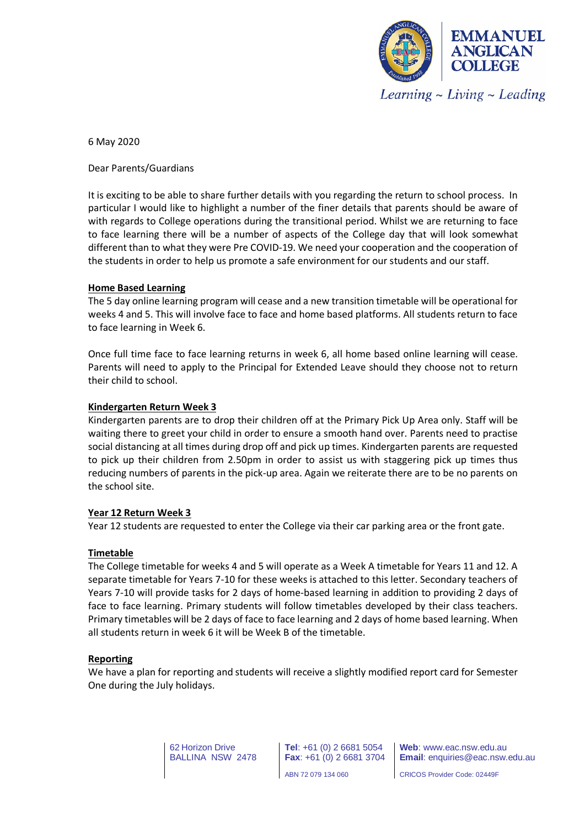

6 May 2020

Dear Parents/Guardians

It is exciting to be able to share further details with you regarding the return to school process. In particular I would like to highlight a number of the finer details that parents should be aware of with regards to College operations during the transitional period. Whilst we are returning to face to face learning there will be a number of aspects of the College day that will look somewhat different than to what they were Pre COVID-19. We need your cooperation and the cooperation of the students in order to help us promote a safe environment for our students and our staff.

## **Home Based Learning**

The 5 day online learning program will cease and a new transition timetable will be operational for weeks 4 and 5. This will involve face to face and home based platforms. All students return to face to face learning in Week 6.

Once full time face to face learning returns in week 6, all home based online learning will cease. Parents will need to apply to the Principal for Extended Leave should they choose not to return their child to school.

#### **Kindergarten Return Week 3**

Kindergarten parents are to drop their children off at the Primary Pick Up Area only. Staff will be waiting there to greet your child in order to ensure a smooth hand over. Parents need to practise social distancing at all times during drop off and pick up times. Kindergarten parents are requested to pick up their children from 2.50pm in order to assist us with staggering pick up times thus reducing numbers of parents in the pick-up area. Again we reiterate there are to be no parents on the school site.

## **Year 12 Return Week 3**

Year 12 students are requested to enter the College via their car parking area or the front gate.

#### **Timetable**

The College timetable for weeks 4 and 5 will operate as a Week A timetable for Years 11 and 12. A separate timetable for Years 7-10 for these weeks is attached to this letter. Secondary teachers of Years 7-10 will provide tasks for 2 days of home-based learning in addition to providing 2 days of face to face learning. Primary students will follow timetables developed by their class teachers. Primary timetables will be 2 days of face to face learning and 2 days of home based learning. When all students return in week 6 it will be Week B of the timetable.

#### **Reporting**

We have a plan for reporting and students will receive a slightly modified report card for Semester One during the July holidays.

> 62 Horizon Drive BALLINA NSW 2478

**Tel**: +61 (0) 2 6681 5054 **Fax**: +61 (0) 2 6681 3704 ABN 72 079 134 060

**Web**: www.eac.nsw.edu.au **Email**: enquiries@eac.nsw.edu.au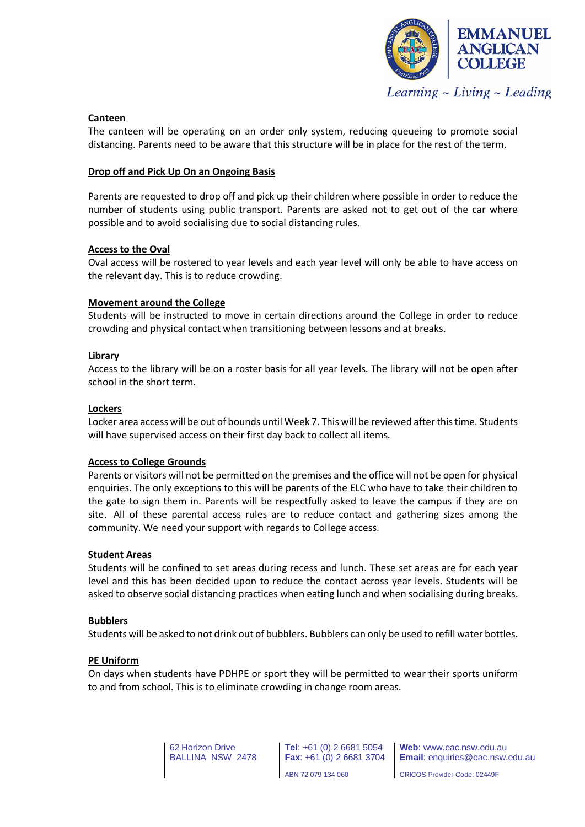

## **Canteen**

The canteen will be operating on an order only system, reducing queueing to promote social distancing. Parents need to be aware that this structure will be in place for the rest of the term.

## **Drop off and Pick Up On an Ongoing Basis**

Parents are requested to drop off and pick up their children where possible in order to reduce the number of students using public transport. Parents are asked not to get out of the car where possible and to avoid socialising due to social distancing rules.

## **Access to the Oval**

Oval access will be rostered to year levels and each year level will only be able to have access on the relevant day. This is to reduce crowding.

## **Movement around the College**

Students will be instructed to move in certain directions around the College in order to reduce crowding and physical contact when transitioning between lessons and at breaks.

## **Library**

Access to the library will be on a roster basis for all year levels. The library will not be open after school in the short term.

#### **Lockers**

Locker area access will be out of bounds until Week 7. This will be reviewed after this time. Students will have supervised access on their first day back to collect all items.

## **Access to College Grounds**

Parents or visitors will not be permitted on the premises and the office will not be open for physical enquiries. The only exceptions to this will be parents of the ELC who have to take their children to the gate to sign them in. Parents will be respectfully asked to leave the campus if they are on site. All of these parental access rules are to reduce contact and gathering sizes among the community. We need your support with regards to College access.

## **Student Areas**

Students will be confined to set areas during recess and lunch. These set areas are for each year level and this has been decided upon to reduce the contact across year levels. Students will be asked to observe social distancing practices when eating lunch and when socialising during breaks.

## **Bubblers**

Students will be asked to not drink out of bubblers. Bubblers can only be used to refill water bottles.

## **PE Uniform**

On days when students have PDHPE or sport they will be permitted to wear their sports uniform to and from school. This is to eliminate crowding in change room areas.

> 62 Horizon Drive BALLINA NSW 2478

**Tel**: +61 (0) 2 6681 5054 **Fax**: +61 (0) 2 6681 3704 ABN 72 079 134 060

**Web**: www.eac.nsw.edu.au **Email**: enquiries@eac.nsw.edu.au